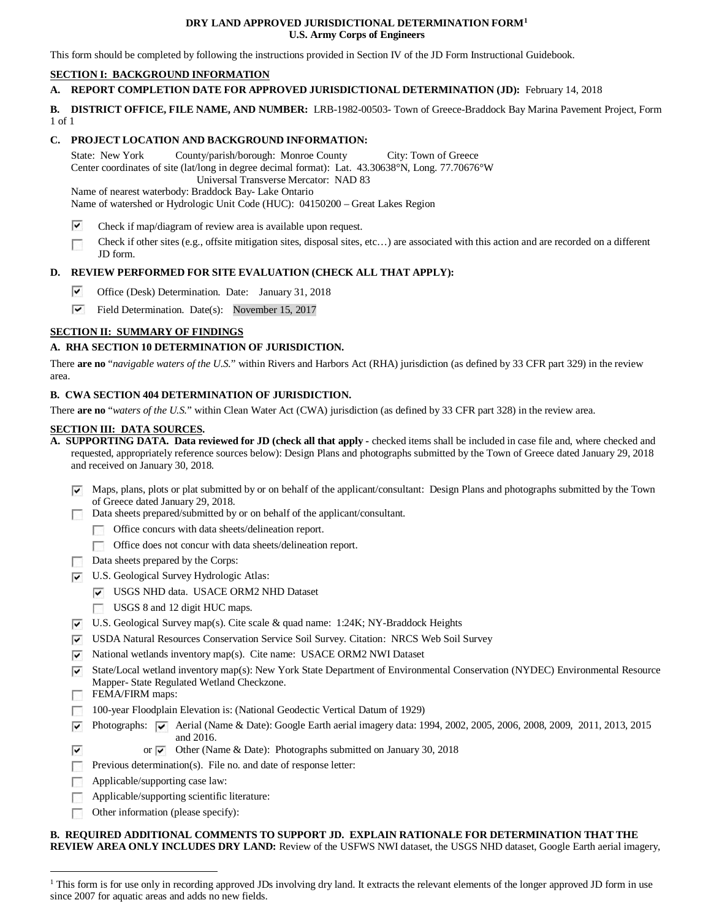#### **DRY LAND APPROVED JURISDICTIONAL DETERMINATION FOR[M1](#page-0-0) U.S. Army Corps of Engineers**

This form should be completed by following the instructions provided in Section IV of the JD Form Instructional Guidebook.

## **SECTION I: BACKGROUND INFORMATION**

## **A. REPORT COMPLETION DATE FOR APPROVED JURISDICTIONAL DETERMINATION (JD):** February 14, 2018

**B. DISTRICT OFFICE, FILE NAME, AND NUMBER:** LRB-1982-00503- Town of Greece-Braddock Bay Marina Pavement Project, Form 1 of 1

## **C. PROJECT LOCATION AND BACKGROUND INFORMATION:**

State: New York County/parish/borough: Monroe County City: Town of Greece Center coordinates of site (lat/long in degree decimal format): Lat. 43.30638°N, Long. 77.70676°W Universal Transverse Mercator: NAD 83

Name of nearest waterbody: Braddock Bay- Lake Ontario

Name of watershed or Hydrologic Unit Code (HUC): 04150200 – Great Lakes Region

- ⊽ Check if map/diagram of review area is available upon request.
- Check if other sites (e.g., offsite mitigation sites, disposal sites, etc…) are associated with this action and are recorded on a different  $\overline{\phantom{a}}$ JD form.

# **D. REVIEW PERFORMED FOR SITE EVALUATION (CHECK ALL THAT APPLY):**

- ⊽ Office (Desk) Determination. Date: January 31, 2018
- $\overline{\mathbf{v}}$ Field Determination. Date(s): November 15, 2017

# **SECTION II: SUMMARY OF FINDINGS**

# **A. RHA SECTION 10 DETERMINATION OF JURISDICTION.**

There **are no** "*navigable waters of the U.S.*" within Rivers and Harbors Act (RHA) jurisdiction (as defined by 33 CFR part 329) in the review area.

## **B. CWA SECTION 404 DETERMINATION OF JURISDICTION.**

There **are no** "*waters of the U.S.*" within Clean Water Act (CWA) jurisdiction (as defined by 33 CFR part 328) in the review area.

#### **SECTION III: DATA SOURCES.**

- **A. SUPPORTING DATA. Data reviewed for JD (check all that apply -** checked items shall be included in case file and, where checked and requested, appropriately reference sources below): Design Plans and photographs submitted by the Town of Greece dated January 29, 2018 and received on January 30, 2018.
	- $\triangledown$  Maps, plans, plots or plat submitted by or on behalf of the applicant/consultant: Design Plans and photographs submitted by the Town of Greece dated January 29, 2018.
	- Data sheets prepared/submitted by or on behalf of the applicant/consultant.
		- Office concurs with data sheets/delineation report.
			- Office does not concur with data sheets/delineation report.
	- Data sheets prepared by the Corps:
	- U.S. Geological Survey Hydrologic Atlas:
		- USGS NHD data. USACE ORM2 NHD Dataset
		- USGS 8 and 12 digit HUC maps.
	- $\triangledown$  U.S. Geological Survey map(s). Cite scale & quad name: 1:24K; NY-Braddock Heights
	- USDA Natural Resources Conservation Service Soil Survey. Citation: NRCS Web Soil Survey
	- $\triangledown$  National wetlands inventory map(s). Cite name: USACE ORM2 NWI Dataset
	- $\overline{\blacktriangledown}$  State/Local wetland inventory map(s): New York State Department of Environmental Conservation (NYDEC) Environmental Resource Mapper- State Regulated Wetland Checkzone.
	- FEMA/FIRM maps:

 $\overline{\mathbf{v}}$ 

- 100-year Floodplain Elevation is: (National Geodectic Vertical Datum of 1929)
- Photographs:  $\sqrt{\bullet}$  Aerial (Name & Date): Google Earth aerial imagery data: 1994, 2002, 2005, 2006, 2008, 2009, 2011, 2013, 2015 and 2016.
	- or  $\overline{\triangledown}$  Other (Name & Date): Photographs submitted on January 30, 2018
- Previous determination(s). File no. and date of response letter:
- $\sim$ Applicable/supporting case law:
- Applicable/supporting scientific literature:  $\sim$
- $\mathcal{L}_{\mathrm{eff}}$ Other information (please specify):

# **B. REQUIRED ADDITIONAL COMMENTS TO SUPPORT JD. EXPLAIN RATIONALE FOR DETERMINATION THAT THE**

**REVIEW AREA ONLY INCLUDES DRY LAND:** Review of the USFWS NWI dataset, the USGS NHD dataset, Google Earth aerial imagery,

<span id="page-0-0"></span><sup>&</sup>lt;sup>1</sup> This form is for use only in recording approved JDs involving dry land. It extracts the relevant elements of the longer approved JD form in use since 2007 for aquatic areas and adds no new fields.